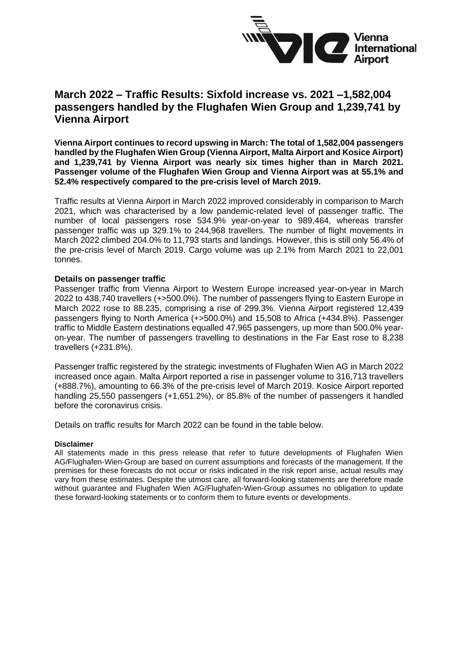

## **March 2022 – Traffic Results: Sixfold increase vs. 2021 –1,582,004 passengers handled by the Flughafen Wien Group and 1,239,741 by Vienna Airport**

**Vienna Airport continues to record upswing in March: The total of 1,582,004 passengers handled by the Flughafen Wien Group (Vienna Airport, Malta Airport and Kosice Airport) and 1,239,741 by Vienna Airport was nearly six times higher than in March 2021. Passenger volume of the Flughafen Wien Group and Vienna Airport was at 55.1% and 52.4% respectively compared to the pre-crisis level of March 2019.** 

Traffic results at Vienna Airport in March 2022 improved considerably in comparison to March 2021, which was characterised by a low pandemic-related level of passenger traffic. The number of local passengers rose 534.9% year-on-year to 989,464, whereas transfer passenger traffic was up 329.1% to 244,968 travellers. The number of flight movements in March 2022 climbed 204.0% to 11,793 starts and landings. However, this is still only 56.4% of the pre-crisis level of March 2019. Cargo volume was up 2.1% from March 2021 to 22,001 tonnes.

#### **Details on passenger traffic**

Passenger traffic from Vienna Airport to Western Europe increased year-on-year in March 2022 to 438,740 travellers (+>500.0%). The number of passengers flying to Eastern Europe in March 2022 rose to 88.235, comprising a rise of 299.3%. Vienna Airport registered 12,439 passengers flying to North America (+>500.0%) and 15,508 to Africa (+434.8%). Passenger traffic to Middle Eastern destinations equalled 47.965 passengers, up more than 500.0% yearon-year. The number of passengers travelling to destinations in the Far East rose to 8,238 travellers (+231.8%).

Passenger traffic registered by the strategic investments of Flughafen Wien AG in March 2022 increased once again. Malta Airport reported a rise in passenger volume to 316,713 travellers (+888.7%), amounting to 66.3% of the pre-crisis level of March 2019. Kosice Airport reported handling 25,550 passengers (+1,651.2%), or 85.8% of the number of passengers it handled before the coronavirus crisis.

Details on traffic results for March 2022 can be found in the table below.

#### **Disclaimer**

All statements made in this press release that refer to future developments of Flughafen Wien AG/Flughafen-Wien-Group are based on current assumptions and forecasts of the management. If the premises for these forecasts do not occur or risks indicated in the risk report arise, actual results may vary from these estimates. Despite the utmost care, all forward-looking statements are therefore made without guarantee and Flughafen Wien AG/Flughafen-Wien-Group assumes no obligation to update these forward-looking statements or to conform them to future events or developments.